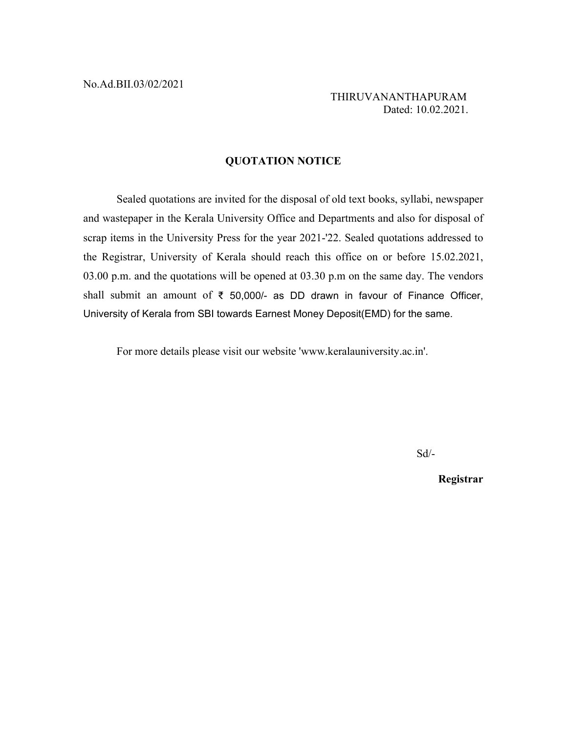THIRUVANANTHAPURAM Dated: 10.02.2021.

### **QUOTATION NOTICE**

Sealed quotations are invited for the disposal of old text books, syllabi, newspaper and wastepaper in the Kerala University Office and Departments and also for disposal of scrap items in the University Press for the year 2021-'22. Sealed quotations addressed to the Registrar, University of Kerala should reach this office on or before 15.02.2021, 03.00 p.m. and the quotations will be opened at 03.30 p.m on the same day. The vendors shall submit an amount of ₹ 50,000/- as DD drawn in favour of Finance Officer, University of Kerala from SBI towards Earnest Money Deposit(EMD) for the same.

For more details please visit our website 'www.keralauniversity.ac.in'.

Sd/-

**Registrar**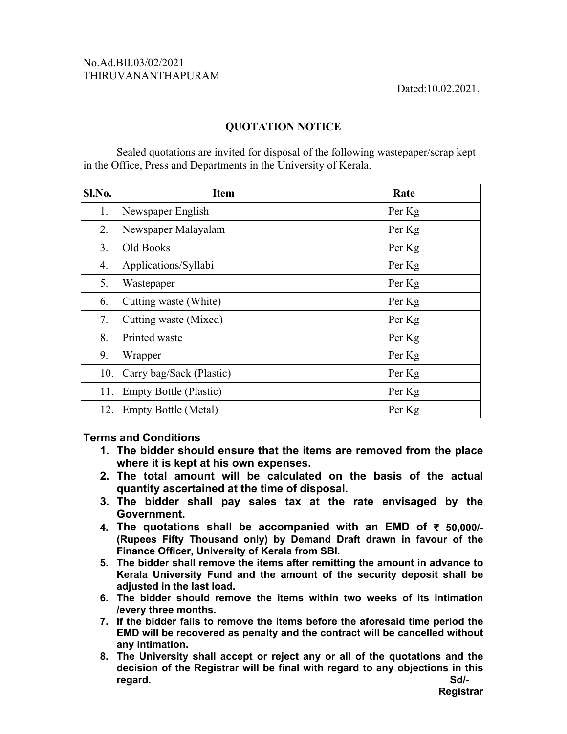# No.Ad.BII.03/02/2021<br>THIRUVANANTHAPURAM

## **QUOTATION NOTICE**

Sealed quotations are invited for disposal of the following wastepaper/scrap kept in the Office, Press and Departments in the University of Kerala.

| Sl.No. | <b>Item</b>                   | Rate   |
|--------|-------------------------------|--------|
| 1.     | Newspaper English             | Per Kg |
| 2.     | Newspaper Malayalam           | Per Kg |
| 3.     | Old Books                     | Per Kg |
| 4.     | Applications/Syllabi          | Per Kg |
| 5.     | Wastepaper                    | Per Kg |
| 6.     | Cutting waste (White)         | Per Kg |
| 7.     | Cutting waste (Mixed)         | Per Kg |
| 8.     | Printed waste                 | Per Kg |
| 9.     | Wrapper                       | Per Kg |
| 10.    | Carry bag/Sack (Plastic)      | Per Kg |
| 11.    | <b>Empty Bottle (Plastic)</b> | Per Kg |
| 12.    | <b>Empty Bottle (Metal)</b>   | Per Kg |

### **Terms and Conditions**

- **1. The bidder should ensure that the items are removed from the place where it is kept at his own expenses.**
- **2. The total amount will be calculated on the basis of the actual quantity ascertained at the time of disposal.**
- **3. The bidder shall pay sales tax at the rate envisaged by the Government.**
- **4. The quotations shall be accompanied with an EMD of ₹ 50,000/- (Rupees Fifty Thousand only) by Demand Draft drawn in favour of the Finance Officer, University of Kerala from SBI.**
- **5. The bidder shall remove the items after remitting the amount in advance to Kerala University Fund and the amount of the security deposit shall be adjusted in the last load.**
- **6. The bidder should remove the items within two weeks of its intimation /every three months.**
- **7. If the bidder fails to remove the items before the aforesaid time period the EMD will be recovered as penalty and the contract will be cancelled without any intimation.**
- **8. The University shall accept or reject any or all of the quotations and the decision of the Registrar will be final with regard to any objections in this regard. Sd/-**